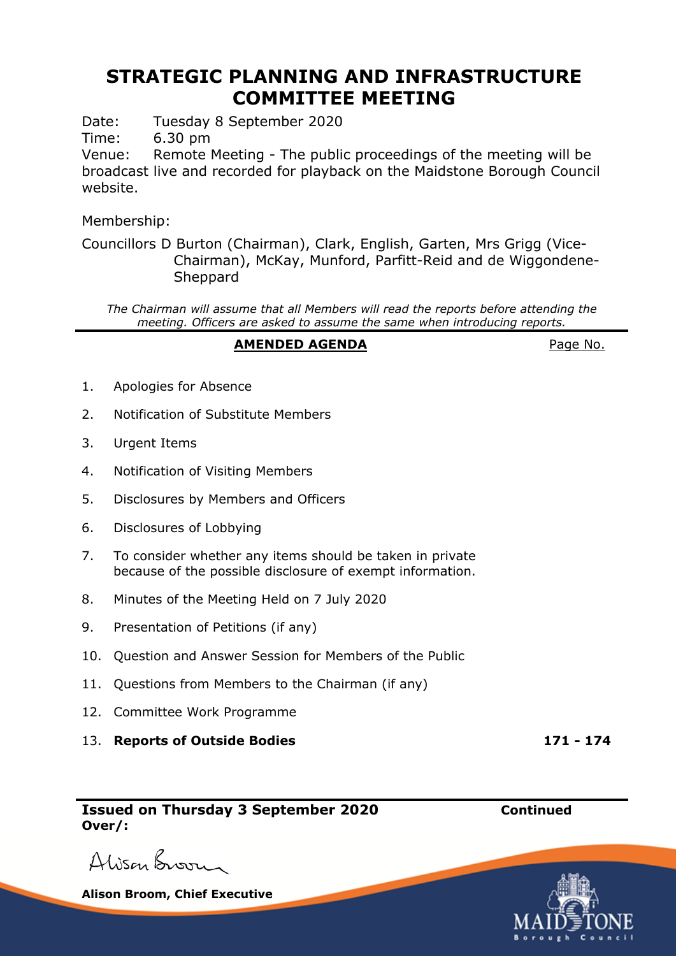# **STRATEGIC PLANNING AND INFRASTRUCTURE COMMITTEE MEETING**

Date: Tuesday 8 September 2020

Time: 6.30 pm

Venue: Remote Meeting - The public proceedings of the meeting will be broadcast live and recorded for playback on the Maidstone Borough Council website.

Membership:

Councillors D Burton (Chairman), Clark, English, Garten, Mrs Grigg (Vice-Chairman), McKay, Munford, Parfitt-Reid and de Wiggondene-**Sheppard** 

*The Chairman will assume that all Members will read the reports before attending the meeting. Officers are asked to assume the same when introducing reports.*

### **AMENDED AGENDA** Page No.

- 1. Apologies for Absence
- 2. Notification of Substitute Members
- 3. Urgent Items
- 4. Notification of Visiting Members
- 5. Disclosures by Members and Officers
- 6. Disclosures of Lobbying
- 7. To consider whether any items should be taken in private because of the possible disclosure of exempt information.
- 8. Minutes of the Meeting Held on 7 July 2020
- 9. Presentation of Petitions (if any)
- 10. Question and Answer Session for Members of the Public
- 11. Questions from Members to the Chairman (if any)
- 12. Committee Work Programme
- 13. **Reports of Outside Bodies 171 - 174**

**Issued on Thursday 3 September 2020 Continued Over/:**

Alison Broom

**Alison Broom, Chief Executive**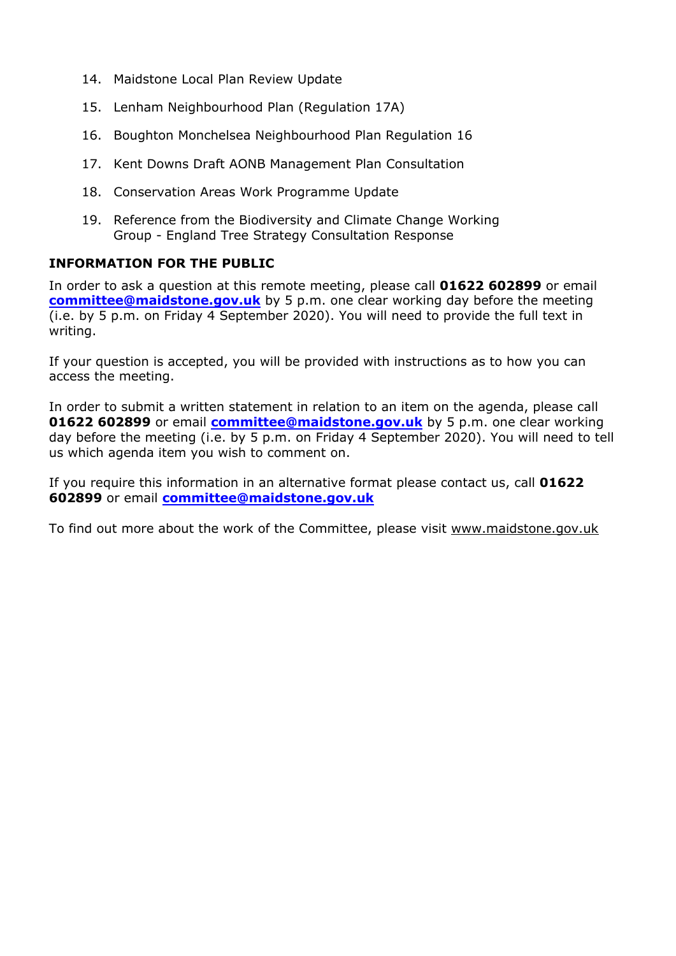- 14. Maidstone Local Plan Review Update
- 15. Lenham Neighbourhood Plan (Regulation 17A)
- 16. Boughton Monchelsea Neighbourhood Plan Regulation 16
- 17. Kent Downs Draft AONB Management Plan Consultation
- 18. Conservation Areas Work Programme Update
- 19. Reference from the Biodiversity and Climate Change Working Group - England Tree Strategy Consultation Response

#### **INFORMATION FOR THE PUBLIC**

In order to ask a question at this remote meeting, please call **01622 602899** or email **[committee@maidstone.gov.uk](mailto:committee@maidstone.gov.uk)** by 5 p.m. one clear working day before the meeting (i.e. by 5 p.m. on Friday 4 September 2020). You will need to provide the full text in writing.

If your question is accepted, you will be provided with instructions as to how you can access the meeting.

In order to submit a written statement in relation to an item on the agenda, please call **01622 602899** or email **[committee@maidstone.gov.uk](mailto:committee@maidstone.gov.uk)** by 5 p.m. one clear working day before the meeting (i.e. by 5 p.m. on Friday 4 September 2020). You will need to tell us which agenda item you wish to comment on.

If you require this information in an alternative format please contact us, call **01622 602899** or email **[committee@maidstone.gov.uk](mailto:committee@maidstone.gov.uk)**

To find out more about the work of the Committee, please visit www.maidstone.gov.uk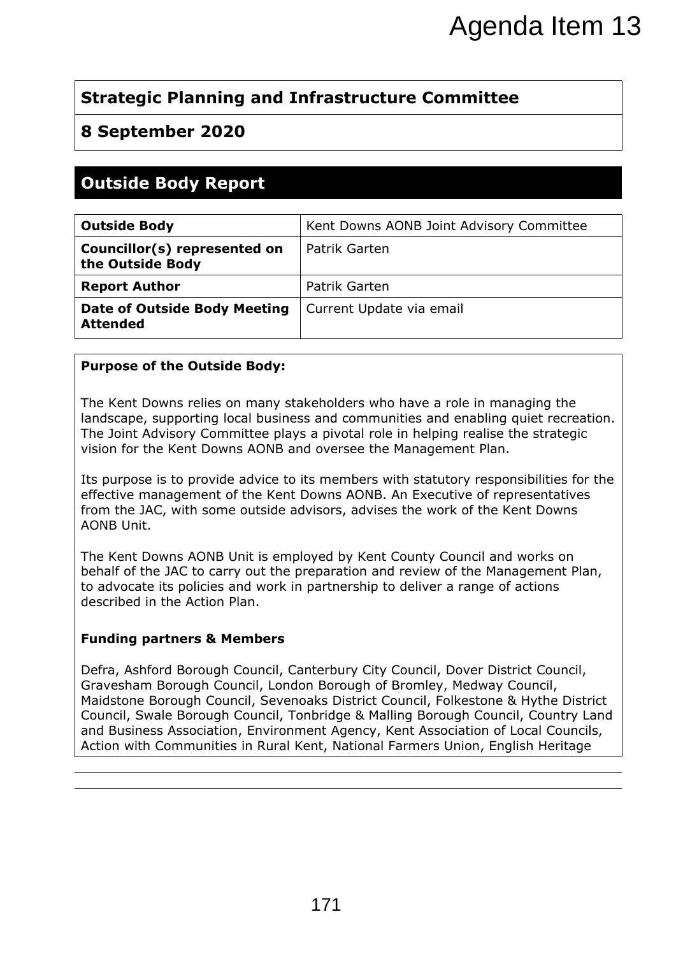## **Strategic Planning and Infrastructure Committee**

## **8 September 2020**

# **Outside Body Report**

|                                                                                                                                                                                                                                                                                                                                                                                                                                                                                                                                                                                                                                                                                                                    | Agenda Item 13                           |
|--------------------------------------------------------------------------------------------------------------------------------------------------------------------------------------------------------------------------------------------------------------------------------------------------------------------------------------------------------------------------------------------------------------------------------------------------------------------------------------------------------------------------------------------------------------------------------------------------------------------------------------------------------------------------------------------------------------------|------------------------------------------|
|                                                                                                                                                                                                                                                                                                                                                                                                                                                                                                                                                                                                                                                                                                                    |                                          |
| <b>Strategic Planning and Infrastructure Committee</b>                                                                                                                                                                                                                                                                                                                                                                                                                                                                                                                                                                                                                                                             |                                          |
| 8 September 2020                                                                                                                                                                                                                                                                                                                                                                                                                                                                                                                                                                                                                                                                                                   |                                          |
|                                                                                                                                                                                                                                                                                                                                                                                                                                                                                                                                                                                                                                                                                                                    |                                          |
| <b>Outside Body Report</b>                                                                                                                                                                                                                                                                                                                                                                                                                                                                                                                                                                                                                                                                                         |                                          |
| <b>Outside Body</b>                                                                                                                                                                                                                                                                                                                                                                                                                                                                                                                                                                                                                                                                                                | Kent Downs AONB Joint Advisory Committee |
| Councillor(s) represented on<br>the Outside Body                                                                                                                                                                                                                                                                                                                                                                                                                                                                                                                                                                                                                                                                   | Patrik Garten                            |
| <b>Report Author</b>                                                                                                                                                                                                                                                                                                                                                                                                                                                                                                                                                                                                                                                                                               | Patrik Garten                            |
| <b>Date of Outside Body Meeting</b><br><b>Attended</b>                                                                                                                                                                                                                                                                                                                                                                                                                                                                                                                                                                                                                                                             | Current Update via email                 |
| <b>Purpose of the Outside Body:</b>                                                                                                                                                                                                                                                                                                                                                                                                                                                                                                                                                                                                                                                                                |                                          |
| The Joint Advisory Committee plays a pivotal role in helping realise the strategic<br>vision for the Kent Downs AONB and oversee the Management Plan.<br>Its purpose is to provide advice to its members with statutory responsibilities for the<br>effective management of the Kent Downs AONB. An Executive of representatives<br>from the JAC, with some outside advisors, advises the work of the Kent Downs<br>AONB Unit.<br>The Kent Downs AONB Unit is employed by Kent County Council and works on<br>behalf of the JAC to carry out the preparation and review of the Management Plan,<br>to advocate its policies and work in partnership to deliver a range of actions<br>described in the Action Plan. |                                          |
| <b>Funding partners &amp; Members</b>                                                                                                                                                                                                                                                                                                                                                                                                                                                                                                                                                                                                                                                                              |                                          |
| Defra, Ashford Borough Council, Canterbury City Council, Dover District Council,<br>Gravesham Borough Council, London Borough of Bromley, Medway Council,<br>Maidstone Borough Council, Sevenoaks District Council, Folkestone & Hythe District<br>Council, Swale Borough Council, Tonbridge & Malling Borough Council, Country Land<br>and Business Association, Environment Agency, Kent Association of Local Councils,<br>Action with Communities in Rural Kent, National Farmers Union, English Heritage                                                                                                                                                                                                       |                                          |
|                                                                                                                                                                                                                                                                                                                                                                                                                                                                                                                                                                                                                                                                                                                    |                                          |
|                                                                                                                                                                                                                                                                                                                                                                                                                                                                                                                                                                                                                                                                                                                    |                                          |
|                                                                                                                                                                                                                                                                                                                                                                                                                                                                                                                                                                                                                                                                                                                    |                                          |
|                                                                                                                                                                                                                                                                                                                                                                                                                                                                                                                                                                                                                                                                                                                    |                                          |
|                                                                                                                                                                                                                                                                                                                                                                                                                                                                                                                                                                                                                                                                                                                    | 171                                      |
|                                                                                                                                                                                                                                                                                                                                                                                                                                                                                                                                                                                                                                                                                                                    |                                          |

#### **Purpose of the Outside Body:**

#### **Funding partners & Members**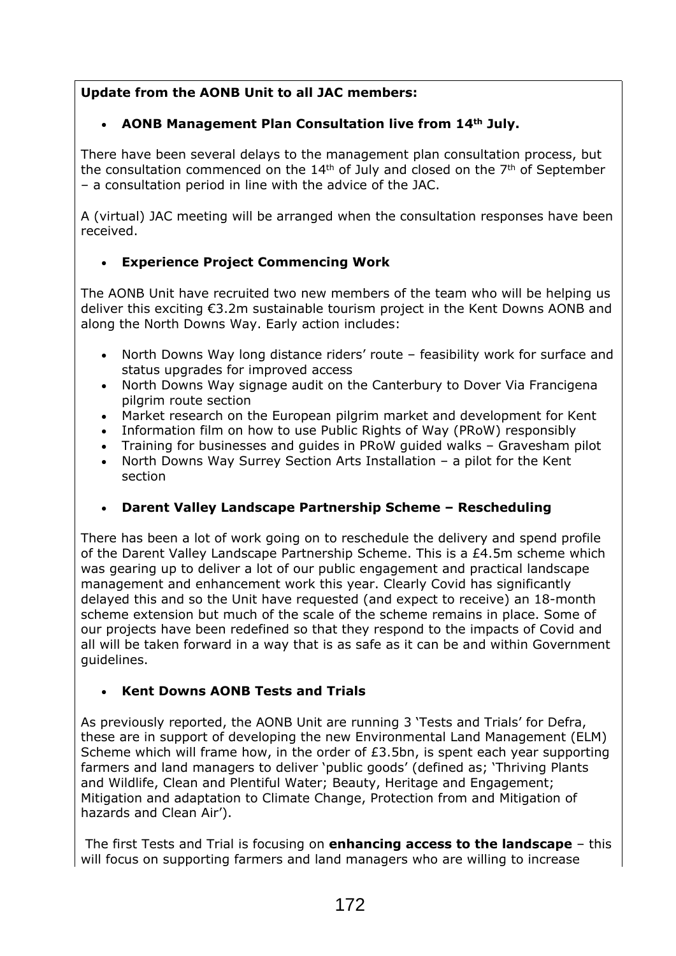## **Update from the AONB Unit to all JAC members:**

## **AONB Management Plan Consultation live from 14th July.**

There have been several delays to the management plan consultation process, but the consultation commenced on the  $14<sup>th</sup>$  of July and closed on the  $7<sup>th</sup>$  of September – a consultation period in line with the advice of the JAC.

A (virtual) JAC meeting will be arranged when the consultation responses have been received.

## **Experience Project Commencing Work**

The AONB Unit have recruited two new members of the team who will be helping us deliver this exciting €3.2m sustainable tourism project in the Kent Downs AONB and along the North Downs Way. Early action includes:

- North Downs Way long distance riders' route feasibility work for surface and status upgrades for improved access
- North Downs Way signage audit on the Canterbury to Dover Via Francigena pilgrim route section
- Market research on the European pilgrim market and development for Kent
- Information film on how to use Public Rights of Way (PRoW) responsibly
- Training for businesses and guides in PRoW guided walks Gravesham pilot
- North Downs Way Surrey Section Arts Installation a pilot for the Kent section

## **Darent Valley Landscape Partnership Scheme – Rescheduling**

There has been a lot of work going on to reschedule the delivery and spend profile of the Darent Valley Landscape Partnership Scheme. This is a £4.5m scheme which was gearing up to deliver a lot of our public engagement and practical landscape management and enhancement work this year. Clearly Covid has significantly delayed this and so the Unit have requested (and expect to receive) an 18-month scheme extension but much of the scale of the scheme remains in place. Some of our projects have been redefined so that they respond to the impacts of Covid and all will be taken forward in a way that is as safe as it can be and within Government guidelines.

## **Kent Downs AONB Tests and Trials**

As previously reported, the AONB Unit are running 3 'Tests and Trials' for Defra, these are in support of developing the new Environmental Land Management (ELM) Scheme which will frame how, in the order of £3.5bn, is spent each year supporting farmers and land managers to deliver 'public goods' (defined as; 'Thriving Plants and Wildlife, Clean and Plentiful Water; Beauty, Heritage and Engagement; Mitigation and adaptation to Climate Change, Protection from and Mitigation of hazards and Clean Air').

The first Tests and Trial is focusing on **enhancing access to the landscape** – this will focus on supporting farmers and land managers who are willing to increase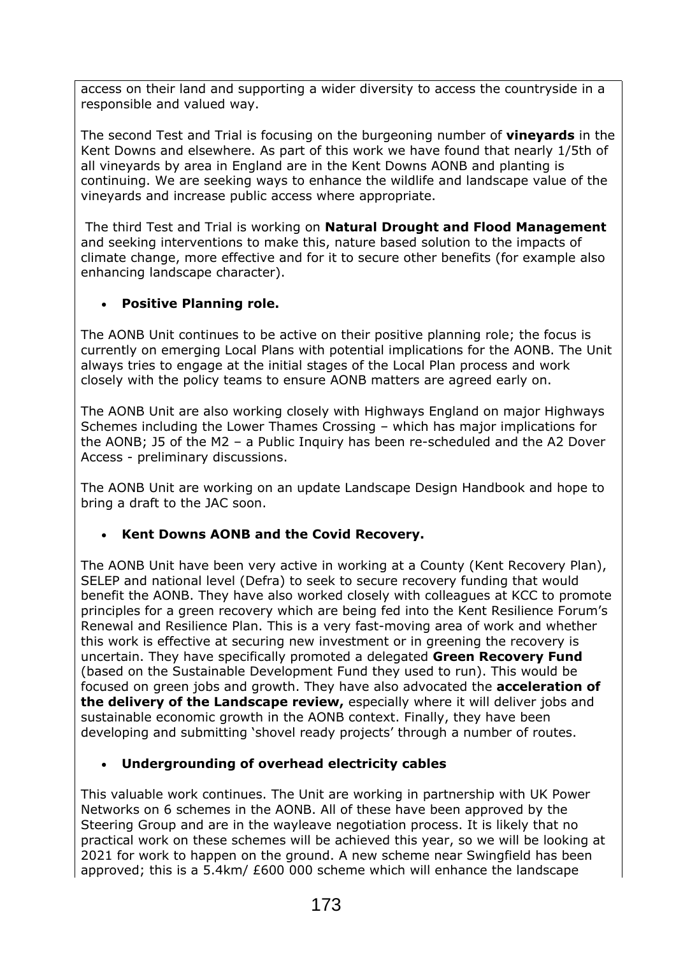access on their land and supporting a wider diversity to access the countryside in a responsible and valued way.

The second Test and Trial is focusing on the burgeoning number of **vineyards** in the Kent Downs and elsewhere. As part of this work we have found that nearly 1/5th of all vineyards by area in England are in the Kent Downs AONB and planting is continuing. We are seeking ways to enhance the wildlife and landscape value of the vineyards and increase public access where appropriate.

The third Test and Trial is working on **Natural Drought and Flood Management** and seeking interventions to make this, nature based solution to the impacts of climate change, more effective and for it to secure other benefits (for example also enhancing landscape character).

### **Positive Planning role.**

The AONB Unit continues to be active on their positive planning role; the focus is currently on emerging Local Plans with potential implications for the AONB. The Unit always tries to engage at the initial stages of the Local Plan process and work closely with the policy teams to ensure AONB matters are agreed early on.

The AONB Unit are also working closely with Highways England on major Highways Schemes including the Lower Thames Crossing – which has major implications for the AONB; J5 of the M2 – a Public Inquiry has been re-scheduled and the A2 Dover Access - preliminary discussions.

The AONB Unit are working on an update Landscape Design Handbook and hope to bring a draft to the JAC soon.

#### **Kent Downs AONB and the Covid Recovery.**

The AONB Unit have been very active in working at a County (Kent Recovery Plan), SELEP and national level (Defra) to seek to secure recovery funding that would benefit the AONB. They have also worked closely with colleagues at KCC to promote principles for a green recovery which are being fed into the Kent Resilience Forum's Renewal and Resilience Plan. This is a very fast-moving area of work and whether this work is effective at securing new investment or in greening the recovery is uncertain. They have specifically promoted a delegated **Green Recovery Fund** (based on the Sustainable Development Fund they used to run). This would be focused on green jobs and growth. They have also advocated the **acceleration of the delivery of the [Landscape](https://mail.midkent.gov.uk/owa/redir.aspx?REF=b14LCEtctPCDbf0U51GYU01ij0g8qHWGRDGMfx_W17vWzdPKoSLYCAFodHRwczovL3d3dy5nb3YudWsvZ292ZXJubWVudC9wdWJsaWNhdGlvbnMvZGVzaWduYXRlZC1sYW5kc2NhcGVzLW5hdGlvbmFsLXBhcmtzLWFuZC1hb25icy0yMDE4LXJldmlldw..) review,** especially where it will deliver jobs and sustainable economic growth in the AONB context. Finally, they have been developing and submitting 'shovel ready projects' through a number of routes.

#### **Undergrounding of overhead electricity cables**

This valuable work continues. The Unit are working in partnership with UK Power Networks on 6 schemes in the AONB. All of these have been approved by the Steering Group and are in the wayleave negotiation process. It is likely that no practical work on these schemes will be achieved this year, so we will be looking at 2021 for work to happen on the ground. A new scheme near Swingfield has been approved; this is a 5.4km/ £600 000 scheme which will enhance the landscape